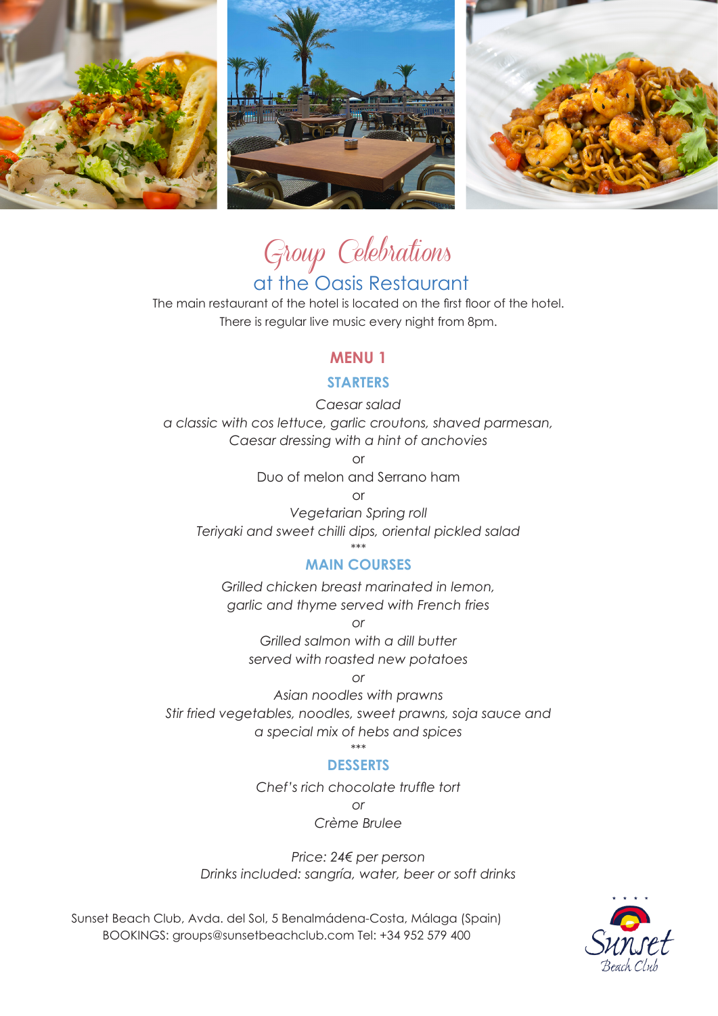





# Group Celebrations

# at the Oasis Restaurant

The main restaurant of the hotel is located on the first floor of the hotel. There is regular live music every night from 8pm.

### **MENU 1**

#### **STARTERS**

*Caesar salad a classic with cos lettuce, garlic croutons, shaved parmesan, Caesar dressing with a hint of anchovies*

or

Duo of melon and Serrano ham

or

*Vegetarian Spring roll Teriyaki and sweet chilli dips, oriental pickled salad*

#### \*\*\* **MAIN COURSES**

*Grilled chicken breast marinated in lemon, garlic and thyme served with French fries*

*or*

*Grilled salmon with a dill butter served with roasted new potatoes*

*or*

*Asian noodles with prawns Stir fried vegetables, noodles, sweet prawns, soja sauce and a special mix of hebs and spices*

\*\*\*

#### **DESSERTS**

*Chef's rich chocolate truffle tort or*

*Crème Brulee*

*Price: 24€ per person Drinks included: sangría, water, beer or soft drinks*

Sunset Beach Club, Avda. del Sol, 5 Benalmádena-Costa, Málaga (Spain) BOOKINGS: groups@sunsetbeachclub.com Tel: +34 952 579 400